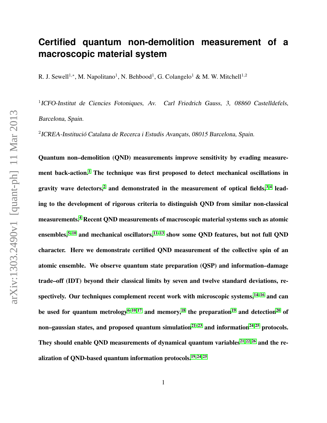## **Certified quantum non-demolition measurement of a macroscopic material system**

R. J. Sewell<sup>1,\*</sup>, M. Napolitano<sup>1</sup>, N. Behbood<sup>1</sup>, G. Colangelo<sup>1</sup> & M. W. Mitchell<sup>1,2</sup>

<sup>1</sup>ICFO-Institut de Ciencies Fotoniques, Av. Carl Friedrich Gauss, 3, 08860 Castelldefels, Barcelona, Spain.

 $2$ ICREA-Institució Catalana de Recerca i Estudis Avançats, 08015 Barcelona, Spain.

Quantum non–demolition (QND) measurements improve sensitivity by evading measure-ment back-action.<sup>[1](#page-11-0)</sup> The technique was first proposed to detect mechanical oscillations in gravity wave detectors,<sup>[2](#page-11-1)</sup> and demonstrated in the measurement of optical fields,  $3,4$  $3,4$  leading to the development of rigorous criteria to distinguish QND from similar non-classical measurements.[4](#page-11-3) Recent QND measurements of macroscopic material systems such as atomic ensembles,<sup>5-[10](#page-12-0)</sup> and mechanical oscillators, $11-13$  $11-13$  show some QND features, but not full QND character. Here we demonstrate certified QND measurement of the collective spin of an atomic ensemble. We observe quantum state preparation (QSP) and information–damage trade–off (IDT) beyond their classical limits by seven and twelve standard deviations, respectively. Our techniques complement recent work with microscopic systems, $14-16$  $14-16$  and can be used for quantum metrology<sup>[6–](#page-11-5)[10,](#page-12-0)17</sup> and memory,<sup>[18](#page-13-1)</sup> the preparation<sup>[19](#page-13-2)</sup> and detection<sup>[20](#page-13-3)</sup> of non–gaussian states, and proposed quantum simulation<sup>[21–](#page-13-4)[23](#page-13-5)</sup> and information<sup>[24,](#page-13-6)25</sup> protocols. They should enable OND measurements of dynamical quantum variables<sup>[21,](#page-13-4) [22,](#page-13-8) [26](#page-14-0)</sup> and the re-alization of OND-based quantum information protocols.<sup>[19,](#page-13-2)24,25</sup>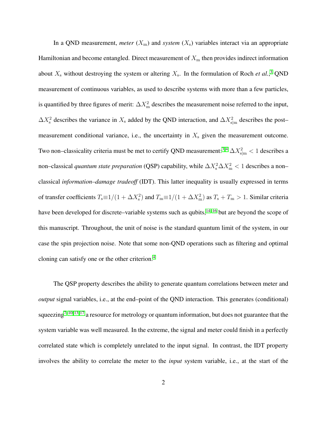In a QND measurement, *meter*  $(X<sub>m</sub>)$  and *system*  $(X<sub>s</sub>)$  variables interact via an appropriate Hamiltonian and become entangled. Direct measurement of  $X<sub>m</sub>$  then provides indirect information about  $X_s$  without destroying the system or altering  $X_s$ . In the formulation of Roch *et al.*,<sup>[3](#page-11-2)</sup> QND measurement of continuous variables, as used to describe systems with more than a few particles, is quantified by three figures of merit:  $\Delta X_{\text{m}}^2$  describes the measurement noise referred to the input,  $\Delta X_s^2$  describes the variance in  $X_s$  added by the QND interaction, and  $\Delta X_{\text{slm}}^2$  describes the post– measurement conditional variance, i.e., the uncertainty in  $X_s$  given the measurement outcome. Two non–classicality criteria must be met to certify QND measurement:<sup>[3,](#page-11-2)4</sup>  $\Delta X_{\rm s\vert m}^2$  < 1 describes a non–classical *quantum state preparation* (QSP) capability, while  $\Delta X_s^2 \Delta X_m^2 < 1$  describes a non– classical *information–damage tradeoff* (IDT). This latter inequality is usually expressed in terms of transfer coefficients  $T_s \equiv 1/(1 + \Delta X_s^2)$  and  $T_m \equiv 1/(1 + \Delta X_m^2)$  as  $T_s + T_m > 1$ . Similar criteria have been developed for discrete–variable systems such as qubits,<sup>[14–](#page-12-3)[16](#page-12-4)</sup> but are beyond the scope of this manuscript. Throughout, the unit of noise is the standard quantum limit of the system, in our case the spin projection noise. Note that some non-QND operations such as filtering and optimal cloning can satisfy one or the other criterion.[4](#page-11-3)

The QSP property describes the ability to generate quantum correlations between meter and *output* signal variables, i.e., at the end–point of the QND interaction. This generates (conditional) squeezing<sup>[7–](#page-11-6)[10,](#page-12-0) [13,](#page-12-2) [17](#page-13-0)</sup> a resource for metrology or quantum information, but does not guarantee that the system variable was well measured. In the extreme, the signal and meter could finish in a perfectly correlated state which is completely unrelated to the input signal. In contrast, the IDT property involves the ability to correlate the meter to the *input* system variable, i.e., at the start of the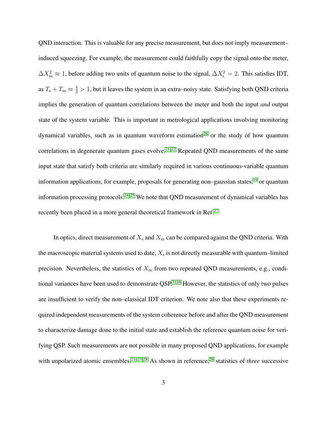QND interaction. This is valuable for any precise measurement, but does not imply measurement– induced squeezing. For example, the measurement could faithfully copy the signal onto the meter,  $\Delta X_{\rm m}^2 \approx 1$ , before adding two units of quantum noise to the signal,  $\Delta X_{\rm s}^2 = 2$ . This satisfies IDT, as  $T_s + T_m \approx \frac{4}{3} > 1$ , but it leaves the system in an extra–noisy state. Satisfying both QND criteria implies the generation of quantum correlations between the meter and both the input *and* output state of the system variable. This is important in metrological applications involving monitoring dynamical variables, such as in quantum waveform estimation<sup>[26](#page-14-0)</sup> or the study of how quantum correlations in degenerate quantum gases evolve.<sup>[21,](#page-13-4)22</sup> Repeated QND measurements of the same input state that satisfy both criteria are similarly required in various continuous-variable quantum information applications, for example, proposals for generating non–gaussian states,<sup>[19](#page-13-2)</sup> or quantum information processing protocols.<sup>[24,](#page-13-6) [25](#page-13-7)</sup> We note that QND measurement of dynamical variables has recently been placed in a more general theoretical framework in Ref.<sup>[27](#page-14-1)</sup>

In optics, direct measurement of  $X_s$  and  $X_m$  can be compared against the QND criteria. With the macroscopic material systems used to date,  $X_s$  is not directly measurable with quantum–limited precision. Nevertheless, the statistics of  $X<sub>m</sub>$  from two repeated QND measurements, e.g., condi-tional variances have been used to demonstrate QSP.<sup>7-[10](#page-12-0)</sup> However, the statistics of only two pulses are insufficient to verify the non–classical IDT criterion. We note also that these experiments required independent measurements of the system coherence before and after the QND measurement to characterize damage done to the initial state and establish the reference quantum noise for verifying QSP. Such measurements are not possible in many proposed QND applications, for example with unpolarized atomic ensembles.<sup>21-[23,](#page-13-5) [28](#page-14-2)</sup> As shown in reference,<sup>[29](#page-14-3)</sup> statistics of *three* successive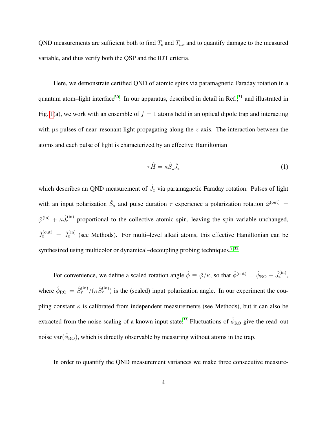QND measurements are sufficient both to find  $T_s$  and  $T_m$ , and to quantify damage to the measured variable, and thus verify both the QSP and the IDT criteria.

Here, we demonstrate certified QND of atomic spins via paramagnetic Faraday rotation in a quantum atom–light interface<sup>[30](#page-14-4)</sup>. In our apparatus, described in detail in Ref., $31$  and illustrated in Fig. [1\(](#page-4-0)a), we work with an ensemble of  $f = 1$  atoms held in an optical dipole trap and interacting with us pulses of near–resonant light propagating along the z-axis. The interaction between the atoms and each pulse of light is characterized by an effective Hamiltonian

<span id="page-3-0"></span>
$$
\tau \hat{H} = \kappa \hat{S}_z \hat{J}_z \tag{1}
$$

which describes an QND measurement of  $\hat{J}_z$  via paramagnetic Faraday rotation: Pulses of light with an input polarization  $\hat{S}_{x}$  and pulse duration  $\tau$  experience a polarization rotation  $\hat{\varphi}^{(out)}$  =  $\hat{\varphi}^{(in)} + \kappa \hat{J}_{z}^{(in)}$  proportional to the collective atomic spin, leaving the spin variable unchanged,  $\hat{J}_z^{(out)} = \hat{J}_z^{(in)}$  (see Methods). For multi-level alkali atoms, this effective Hamiltonian can be synthesized using multicolor or dynamical–decoupling probing techniques.<sup>[7,](#page-11-6)32</sup>

For convenience, we define a scaled rotation angle  $\hat{\phi} \equiv \hat{\varphi}/\kappa$ , so that  $\hat{\phi}^{(\text{out})} = \hat{\phi}_{\text{RO}} + \hat{J}_z^{(\text{in})}$ , where  $\hat{\phi}_{\rm RO} = \hat{S}_{\rm y}^{\rm (in)}/(\kappa \hat{S}_{\rm x}^{\rm (in)})$  is the (scaled) input polarization angle. In our experiment the coupling constant  $\kappa$  is calibrated from independent measurements (see Methods), but it can also be extracted from the noise scaling of a known input state.<sup>[33](#page-14-7)</sup> Fluctuations of  $\hat{\phi}_{\rm RO}$  give the read–out noise var $(\hat{\phi}_{\rm{RO}})$ , which is directly observable by measuring without atoms in the trap.

In order to quantify the QND measurement variances we make three consecutive measure-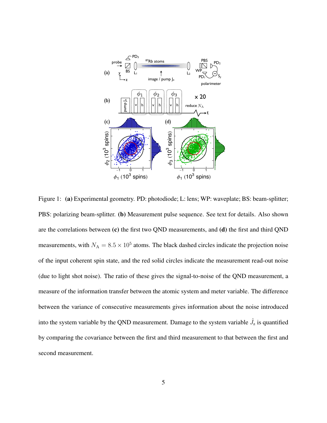

<span id="page-4-0"></span>Figure 1: (a) Experimental geometry. PD: photodiode; L: lens; WP: waveplate; BS: beam-splitter; PBS: polarizing beam-splitter. (b) Measurement pulse sequence. See text for details. Also shown are the correlations between (c) the first two QND measurements, and (d) the first and third QND measurements, with  $N_A = 8.5 \times 10^5$  atoms. The black dashed circles indicate the projection noise of the input coherent spin state, and the red solid circles indicate the measurement read-out noise (due to light shot noise). The ratio of these gives the signal-to-noise of the QND measurement, a measure of the information transfer between the atomic system and meter variable. The difference between the variance of consecutive measurements gives information about the noise introduced into the system variable by the QND measurement. Damage to the system variable  $\hat{J}_z$  is quantified by comparing the covariance between the first and third measurement to that between the first and second measurement.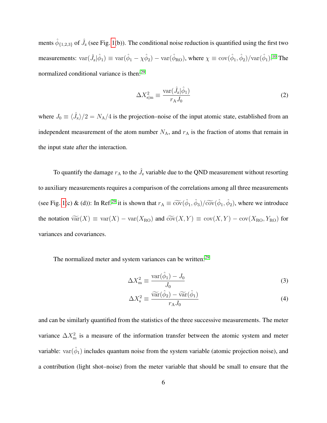ments  $\hat{\phi}_{\{1,2,3\}}$  of  $\hat{J}_z$  (see Fig. [1\(](#page-4-0)b)). The conditional noise reduction is quantified using the first two measurements:  $var(\hat{J}_z|\hat{\phi}_1) \equiv var(\hat{\phi}_1 - \chi \hat{\phi}_2) - var(\hat{\phi}_{RO})$ , where  $\chi \equiv cov(\hat{\phi}_1, \hat{\phi}_2)/var(\hat{\phi}_1)$ .<sup>[10](#page-12-0)</sup> The normalized conditional variance is then:<sup>[29](#page-14-3)</sup>

$$
\Delta X_{\rm s|m}^2 \equiv \frac{\text{var}(\hat{J}_{\rm z}|\hat{\phi}_1)}{r_{\rm A}J_0} \tag{2}
$$

where  $J_0 \equiv \langle \hat{J}_x \rangle/2 = N_A/4$  is the projection–noise of the input atomic state, established from an independent measurement of the atom number  $N_A$ , and  $r_A$  is the fraction of atoms that remain in the input state after the interaction.

To quantify the damage  $r_A$  to the  $\hat{J}_z$  variable due to the QND measurement without resorting to auxiliary measurements requires a comparison of the correlations among all three measurements (see Fig. [1\(](#page-4-0)c) & (d)): In Ref.<sup>[29](#page-14-3)</sup> it is shown that  $r_A \equiv \tilde{\text{cov}}(\hat{\phi}_1, \hat{\phi}_3)/\tilde{\text{cov}}(\hat{\phi}_1, \hat{\phi}_2)$ , where we introduce the notation  $\widetilde{\text{var}}(X) \equiv \text{var}(X) - \text{var}(X_{\text{RO}})$  and  $\widetilde{\text{cov}}(X, Y) \equiv \text{cov}(X, Y) - \text{cov}(X_{\text{RO}}, Y_{\text{RO}})$  for variances and covariances.

The normalized meter and system variances can be written:<sup>[29](#page-14-3)</sup>

$$
\Delta X_{\rm m}^2 \equiv \frac{\text{var}(\hat{\phi}_1) - J_0}{J_0} \tag{3}
$$

$$
\Delta X_{\rm s}^2 \equiv \frac{\widetilde{\rm var}(\hat{\phi}_2) - \widetilde{\rm var}(\hat{\phi}_1)}{r_{\rm A} J_0} \tag{4}
$$

and can be similarly quantified from the statistics of the three successive measurements. The meter variance  $\Delta X_{\text{m}}^2$  is a measure of the information transfer between the atomic system and meter variable:  $var(\hat{\phi}_1)$  includes quantum noise from the system variable (atomic projection noise), and a contribution (light shot–noise) from the meter variable that should be small to ensure that the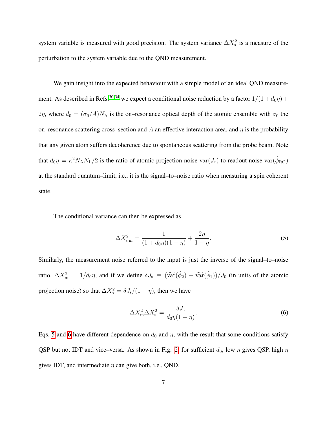system variable is measured with good precision. The system variance  $\Delta X_s^2$  is a measure of the perturbation to the system variable due to the QND measurement.

We gain insight into the expected behaviour with a simple model of an ideal OND measure-ment. As described in Refs.<sup>[30,](#page-14-4) [34](#page-14-8)</sup> we expect a conditional noise reduction by a factor  $1/(1 + d_0\eta)$  + 2η, where  $d_0 = (\sigma_0/A)N_A$  is the on–resonance optical depth of the atomic ensemble with  $\sigma_0$  the on–resonance scattering cross–section and A an effective interaction area, and  $\eta$  is the probability that any given atom suffers decoherence due to spontaneous scattering from the probe beam. Note that  $d_0\eta = \kappa^2 N_A N_L/2$  is the ratio of atomic projection noise var $(J_z)$  to readout noise var $(\hat{\phi}_{RO})$ at the standard quantum–limit, i.e., it is the signal–to–noise ratio when measuring a spin coherent state.

The conditional variance can then be expressed as

<span id="page-6-0"></span>
$$
\Delta X_{\text{slm}}^2 = \frac{1}{(1 + d_0 \eta)(1 - \eta)} + \frac{2\eta}{1 - \eta}.\tag{5}
$$

Similarly, the measurement noise referred to the input is just the inverse of the signal–to–noise ratio,  $\Delta X_{\text{m}}^2 = 1/d_0 \eta$ , and if we define  $\delta J_{\text{s}} \equiv (\tilde{\text{var}}(\hat{\phi}_2) - \tilde{\text{var}}(\hat{\phi}_1))/J_0$  (in units of the atomic projection noise) so that  $\Delta X_{\rm s}^2 = \delta J_{\rm s}/(1-\eta)$ , then we have

<span id="page-6-1"></span>
$$
\Delta X_{\rm m}^2 \Delta X_{\rm s}^2 = \frac{\delta J_{\rm s}}{d_0 \eta (1 - \eta)}.\tag{6}
$$

Eqs. [5](#page-6-0) and [6](#page-6-1) have different dependence on  $d_0$  and  $\eta$ , with the result that some conditions satisfy QSP but not IDT and vice–versa. As shown in Fig. [2,](#page-7-0) for sufficient  $d_0$ , low  $\eta$  gives QSP, high  $\eta$ gives IDT, and intermediate  $\eta$  can give both, i.e., QND.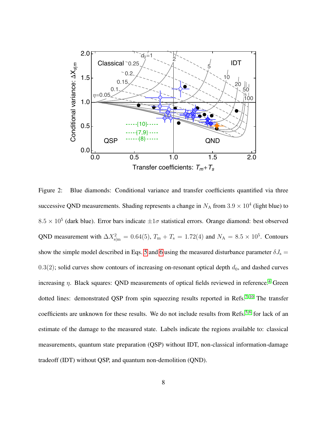

<span id="page-7-0"></span>Figure 2: Blue diamonds: Conditional variance and transfer coefficients quantified via three successive QND measurements. Shading represents a change in  $N_A$  from  $3.9 \times 10^4$  (light blue) to  $8.5 \times 10^5$  (dark blue). Error bars indicate  $\pm 1\sigma$  statistical errors. Orange diamond: best observed QND measurement with  $\Delta X_{\text{slm}}^2 = 0.64(5)$ ,  $T_{\text{m}} + T_{\text{s}} = 1.72(4)$  and  $N_A = 8.5 \times 10^5$ . Contours show the simple model described in Eqs. [5](#page-6-0) and [6](#page-6-1) using the measured disturbance parameter  $\delta J_s$  =  $0.3(2)$ ; solid curves show contours of increasing on-resonant optical depth  $d_0$ , and dashed curves increasing  $\eta$ . Black squares: QND measurements of optical fields reviewed in reference.<sup>[4](#page-11-3)</sup> Green dotted lines: demonstrated QSP from spin squeezing results reported in Refs.<sup>[7](#page-11-6)-10</sup> The transfer coefficients are unknown for these results. We do not include results from Refs.<sup>[5,](#page-11-4)6</sup> for lack of an estimate of the damage to the measured state. Labels indicate the regions available to: classical measurements, quantum state preparation (QSP) without IDT, non-classical information-damage tradeoff (IDT) without QSP, and quantum non-demolition (QND).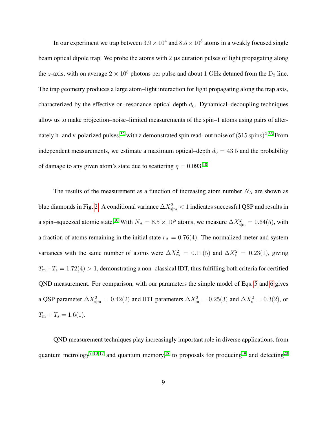In our experiment we trap between  $3.9 \times 10^4$  and  $8.5 \times 10^5$  atoms in a weakly focused single beam optical dipole trap. We probe the atoms with 2  $\mu$ s duration pulses of light propagating along the z-axis, with on average  $2 \times 10^8$  photons per pulse and about 1 GHz detuned from the  $D_2$  line. The trap geometry produces a large atom–light interaction for light propagating along the trap axis, characterized by the effective on–resonance optical depth  $d_0$ . Dynamical–decoupling techniques allow us to make projection–noise–limited measurements of the spin–1 atoms using pairs of alter-nately h- and v-polarized pulses,<sup>[32](#page-14-6)</sup> with a demonstrated spin read–out noise of  $(515 \text{ spins})^2$ .<sup>[33](#page-14-7)</sup> From independent measurements, we estimate a maximum optical–depth  $d_0 = 43.5$  and the probability of damage to any given atom's state due to scattering  $\eta = 0.093$ .<sup>[10](#page-12-0)</sup>

The results of the measurement as a function of increasing atom number  $N_A$  are shown as blue diamonds in Fig. [2.](#page-7-0) A conditional variance  $\Delta X_{\rm s|m}^2 < 1$  indicates successful QSP and results in a spin–squeezed atomic state.<sup>[10](#page-12-0)</sup> With  $N_A = 8.5 \times 10^5$  atoms, we measure  $\Delta X_{\text{slm}}^2 = 0.64(5)$ , with a fraction of atoms remaining in the initial state  $r_A = 0.76(4)$ . The normalized meter and system variances with the same number of atoms were  $\Delta X_{\rm m}^2 = 0.11(5)$  and  $\Delta X_{\rm s}^2 = 0.23(1)$ , giving  $T_m + T_s = 1.72(4) > 1$ , demonstrating a non–classical IDT, thus fulfilling both criteria for certified QND measurement. For comparison, with our parameters the simple model of Eqs. [5](#page-6-0) and [6](#page-6-1) gives a QSP parameter  $\Delta X_{\text{slm}}^2 = 0.42(2)$  and IDT parameters  $\Delta X_{\text{m}}^2 = 0.25(3)$  and  $\Delta X_{\text{s}}^2 = 0.3(2)$ , or  $T_{\rm m} + T_{\rm s} = 1.6(1)$ .

QND measurement techniques play increasingly important role in diverse applications, from quantum metrology<sup>[7](#page-11-6)-10, [17](#page-13-0)</sup> and quantum memory,<sup>[18](#page-13-1)</sup> to proposals for producing<sup>[19](#page-13-2)</sup> and detecting<sup>[20](#page-13-3)</sup>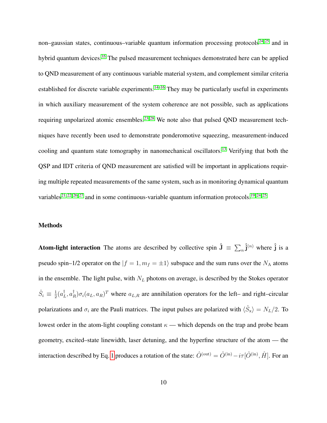non–gaussian states, continuous–variable quantum information processing protocols<sup>[24,](#page-13-6)25</sup> and in hybrid quantum devices.<sup>[35](#page-15-0)</sup> The pulsed measurement techniques demonstrated here can be applied to QND measurement of any continuous variable material system, and complement similar criteria established for discrete variable experiments.<sup>[14–](#page-12-3)[16](#page-12-4)</sup> They may be particularly useful in experiments in which auxiliary measurement of the system coherence are not possible, such as applications requiring unpolarized atomic ensembles.<sup>[23,](#page-13-5) [28](#page-14-2)</sup> We note also that pulsed QND measurement techniques have recently been used to demonstrate ponderomotive squeezing, measurement-induced cooling and quantum state tomography in nanomechanical oscillators.<sup>[13](#page-12-2)</sup> Verifying that both the QSP and IDT criteria of QND measurement are satisfied will be important in applications requiring multiple repeated measurements of the same system, such as in monitoring dynamical quantum variables<sup>[21,](#page-13-4) [22,](#page-13-8) [26,](#page-14-0) [27](#page-14-1)</sup> and in some continuous-variable quantum information protocols.<sup>[19,](#page-13-2) [24,](#page-13-6) [25](#page-13-7)</sup>

## Methods

**Atom-light interaction** The atoms are described by collective spin  $\hat{\mathbf{J}} = \sum_n \hat{\mathbf{j}}^{(n)}$  where  $\hat{\mathbf{j}}$  is a pseudo spin–1/2 operator on the  $|f = 1, m_f = \pm 1\rangle$  subspace and the sum runs over the N<sub>A</sub> atoms in the ensemble. The light pulse, with  $N_L$  photons on average, is described by the Stokes operator  $\hat{S}_i \equiv \frac{1}{2}$  $\frac{1}{2}(a_I^{\dagger}$  $_L^{\dagger}, a_I^{\dagger}$  $R^{\dagger}$ ) $\sigma_i(a_L, a_R)^T$  where  $a_{L,R}$  are annihilation operators for the left– and right–circular polarizations and  $\sigma_i$  are the Pauli matrices. The input pulses are polarized with  $\langle \hat{S}_x \rangle = N_L/2$ . To lowest order in the atom-light coupling constant  $\kappa$  — which depends on the trap and probe beam geometry, excited–state linewidth, laser detuning, and the hyperfine structure of the atom — the interaction described by Eq. [1](#page-3-0) produces a rotation of the state:  $\hat{O}^{(\text{out})}=\hat{O}^{(\text{in})}-i\tau[\hat{O}^{(\text{in})},\hat{H}]$ . For an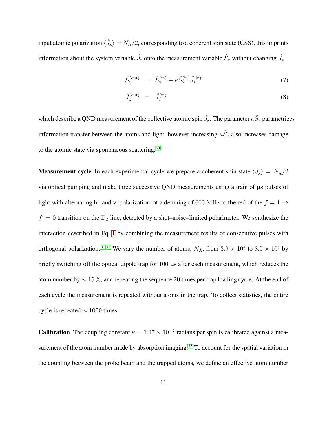input atomic polarization  $\langle \hat{J}_x \rangle = N_A/2$ , corresponding to a coherent spin state (CSS), this imprints information about the system variable  $\hat{J}_z$  onto the measurement variable  $\hat{S}_y$  without changing  $\hat{J}_z$ 

$$
\hat{S}_{\mathbf{y}}^{(\text{out})} = \hat{S}_{\mathbf{y}}^{(\text{in})} + \kappa \hat{S}_{\mathbf{x}}^{(\text{in})} \hat{J}_{\mathbf{z}}^{(\text{in})} \tag{7}
$$

$$
\hat{J}_{\mathbf{z}}^{(\text{out})} = \hat{J}_{\mathbf{z}}^{(\text{in})} \tag{8}
$$

which describe a QND measurement of the collective atomic spin  $\hat{J}_z$ . The parameter  $\kappa \hat{S}_x$  parametrizes information transfer between the atoms and light, however increasing  $\kappa \hat{S}_{x}$  also increases damage to the atomic state via spontaneous scattering.<sup>[30](#page-14-4)</sup>

**Measurement cycle** In each experimental cycle we prepare a coherent spin state  $\langle \hat{J}_x \rangle = N_A/2$ via optical pumping and make three successive QND measurements using a train of µs pulses of light with alternating h– and v–polarization, at a detuning of 600 MHz to the red of the  $f = 1 \rightarrow$  $f' = 0$  transition on the  $D_2$  line, detected by a shot–noise–limited polarimeter. We synthesize the interaction described in Eq. [1](#page-3-0) by combining the measurement results of consecutive pulses with orthogonal polarization.<sup>[10,](#page-12-0)32</sup> We vary the number of atoms,  $N_A$ , from  $3.9 \times 10^4$  to  $8.5 \times 10^5$  by briefly switching off the optical dipole trap for 100  $\mu$ s after each measurement, which reduces the atom number by ∼ 15 %, and repeating the sequence 20 times per trap loading cycle. At the end of each cycle the measurement is repeated without atoms in the trap. To collect statistics, the entire cycle is repeated  $\sim 1000$  times.

**Calibration** The coupling constant  $\kappa = 1.47 \times 10^{-7}$  radians per spin is calibrated against a mea-surement of the atom number made by absorption imaging.<sup>[33](#page-14-7)</sup> To account for the spatial variation in the coupling between the probe beam and the trapped atoms, we define an effective atom number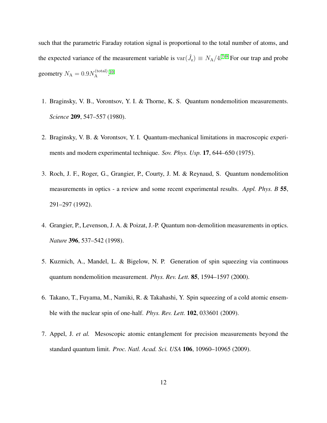such that the parametric Faraday rotation signal is proportional to the total number of atoms, and the expected variance of the measurement variable is  $var(\hat{J}_z) \equiv N_A/4$ .<sup>[7](#page-11-6)-9</sup> For our trap and probe geometry  $N_{\rm A}=0.9 N_{\rm A}^{\rm (total)}$ A . [10](#page-12-0)

- <span id="page-11-0"></span>1. Braginsky, V. B., Vorontsov, Y. I. & Thorne, K. S. Quantum nondemolition measurements. *Science* 209, 547–557 (1980).
- <span id="page-11-1"></span>2. Braginsky, V. B. & Vorontsov, Y. I. Quantum-mechanical limitations in macroscopic experiments and modern experimental technique. *Sov. Phys. Usp.* 17, 644–650 (1975).
- <span id="page-11-2"></span>3. Roch, J. F., Roger, G., Grangier, P., Courty, J. M. & Reynaud, S. Quantum nondemolition measurements in optics - a review and some recent experimental results. *Appl. Phys. B* 55, 291–297 (1992).
- <span id="page-11-3"></span>4. Grangier, P., Levenson, J. A. & Poizat, J.-P. Quantum non-demolition measurements in optics. *Nature* 396, 537–542 (1998).
- <span id="page-11-4"></span>5. Kuzmich, A., Mandel, L. & Bigelow, N. P. Generation of spin squeezing via continuous quantum nondemolition measurement. *Phys. Rev. Lett.* 85, 1594–1597 (2000).
- <span id="page-11-5"></span>6. Takano, T., Fuyama, M., Namiki, R. & Takahashi, Y. Spin squeezing of a cold atomic ensemble with the nuclear spin of one-half. *Phys. Rev. Lett.* 102, 033601 (2009).
- <span id="page-11-6"></span>7. Appel, J. *et al.* Mesoscopic atomic entanglement for precision measurements beyond the standard quantum limit. *Proc. Natl. Acad. Sci. USA* 106, 10960–10965 (2009).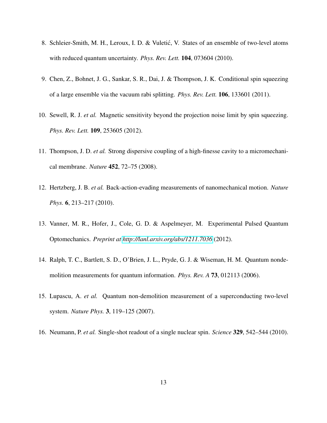- 8. Schleier-Smith, M. H., Leroux, I. D. & Vuletić, V. States of an ensemble of two-level atoms with reduced quantum uncertainty. *Phys. Rev. Lett.* 104, 073604 (2010).
- <span id="page-12-5"></span>9. Chen, Z., Bohnet, J. G., Sankar, S. R., Dai, J. & Thompson, J. K. Conditional spin squeezing of a large ensemble via the vacuum rabi splitting. *Phys. Rev. Lett.* 106, 133601 (2011).
- <span id="page-12-0"></span>10. Sewell, R. J. *et al.* Magnetic sensitivity beyond the projection noise limit by spin squeezing. *Phys. Rev. Lett.* 109, 253605 (2012).
- <span id="page-12-1"></span>11. Thompson, J. D. *et al.* Strong dispersive coupling of a high-finesse cavity to a micromechanical membrane. *Nature* 452, 72–75 (2008).
- 12. Hertzberg, J. B. *et al.* Back-action-evading measurements of nanomechanical motion. *Nature Phys.* 6, 213–217 (2010).
- <span id="page-12-2"></span>13. Vanner, M. R., Hofer, J., Cole, G. D. & Aspelmeyer, M. Experimental Pulsed Quantum Optomechanics. *Preprint at<http://lanl.arxiv.org/abs/1211.7036>* (2012).
- <span id="page-12-3"></span>14. Ralph, T. C., Bartlett, S. D., O'Brien, J. L., Pryde, G. J. & Wiseman, H. M. Quantum nondemolition measurements for quantum information. *Phys. Rev. A* 73, 012113 (2006).
- 15. Lupascu, A. *et al.* Quantum non-demolition measurement of a superconducting two-level system. *Nature Phys.* 3, 119–125 (2007).
- <span id="page-12-4"></span>16. Neumann, P. *et al.* Single-shot readout of a single nuclear spin. *Science* 329, 542–544 (2010).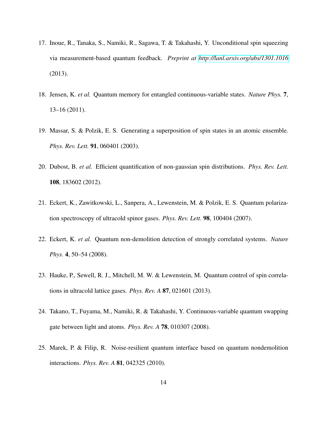- <span id="page-13-0"></span>17. Inoue, R., Tanaka, S., Namiki, R., Sagawa, T. & Takahashi, Y. Unconditional spin squeezing via measurement-based quantum feedback. *Preprint at<http://lanl.arxiv.org/abs/1301.1016>* (2013).
- <span id="page-13-1"></span>18. Jensen, K. *et al.* Quantum memory for entangled continuous-variable states. *Nature Phys.* 7, 13–16 (2011).
- <span id="page-13-2"></span>19. Massar, S. & Polzik, E. S. Generating a superposition of spin states in an atomic ensemble. *Phys. Rev. Lett.* 91, 060401 (2003).
- <span id="page-13-3"></span>20. Dubost, B. *et al.* Efficient quantification of non-gaussian spin distributions. *Phys. Rev. Lett.* 108, 183602 (2012).
- <span id="page-13-4"></span>21. Eckert, K., Zawitkowski, L., Sanpera, A., Lewenstein, M. & Polzik, E. S. Quantum polarization spectroscopy of ultracold spinor gases. *Phys. Rev. Lett.* 98, 100404 (2007).
- <span id="page-13-8"></span>22. Eckert, K. *et al.* Quantum non-demolition detection of strongly correlated systems. *Nature Phys.* 4, 50–54 (2008).
- <span id="page-13-5"></span>23. Hauke, P., Sewell, R. J., Mitchell, M. W. & Lewenstein, M. Quantum control of spin correlations in ultracold lattice gases. *Phys. Rev. A* 87, 021601 (2013).
- <span id="page-13-6"></span>24. Takano, T., Fuyama, M., Namiki, R. & Takahashi, Y. Continuous-variable quantum swapping gate between light and atoms. *Phys. Rev. A* 78, 010307 (2008).
- <span id="page-13-7"></span>25. Marek, P. & Filip, R. Noise-resilient quantum interface based on quantum nondemolition interactions. *Phys. Rev. A* 81, 042325 (2010).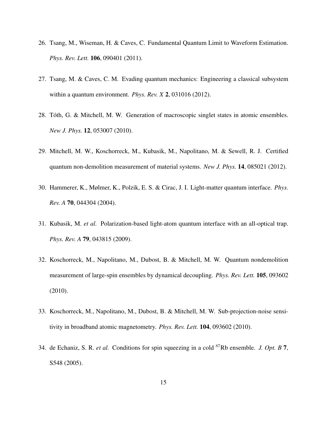- <span id="page-14-0"></span>26. Tsang, M., Wiseman, H. & Caves, C. Fundamental Quantum Limit to Waveform Estimation. *Phys. Rev. Lett.* 106, 090401 (2011).
- <span id="page-14-1"></span>27. Tsang, M. & Caves, C. M. Evading quantum mechanics: Engineering a classical subsystem within a quantum environment. *Phys. Rev. X* 2, 031016 (2012).
- <span id="page-14-2"></span>28. Toth, G. & Mitchell, M. W. Generation of macroscopic singlet states in atomic ensembles. ´ *New J. Phys.* 12, 053007 (2010).
- <span id="page-14-3"></span>29. Mitchell, M. W., Koschorreck, M., Kubasik, M., Napolitano, M. & Sewell, R. J. Certified quantum non-demolition measurement of material systems. *New J. Phys.* 14, 085021 (2012).
- <span id="page-14-4"></span>30. Hammerer, K., Mølmer, K., Polzik, E. S. & Cirac, J. I. Light-matter quantum interface. *Phys. Rev. A* 70, 044304 (2004).
- <span id="page-14-5"></span>31. Kubasik, M. *et al.* Polarization-based light-atom quantum interface with an all-optical trap. *Phys. Rev. A* 79, 043815 (2009).
- <span id="page-14-6"></span>32. Koschorreck, M., Napolitano, M., Dubost, B. & Mitchell, M. W. Quantum nondemolition measurement of large-spin ensembles by dynamical decoupling. *Phys. Rev. Lett.* 105, 093602 (2010).
- <span id="page-14-7"></span>33. Koschorreck, M., Napolitano, M., Dubost, B. & Mitchell, M. W. Sub-projection-noise sensitivity in broadband atomic magnetometry. *Phys. Rev. Lett.* 104, 093602 (2010).
- <span id="page-14-8"></span>34. de Echaniz, S. R. *et al.* Conditions for spin squeezing in a cold <sup>87</sup>Rb ensemble. *J. Opt. B* 7, S548 (2005).